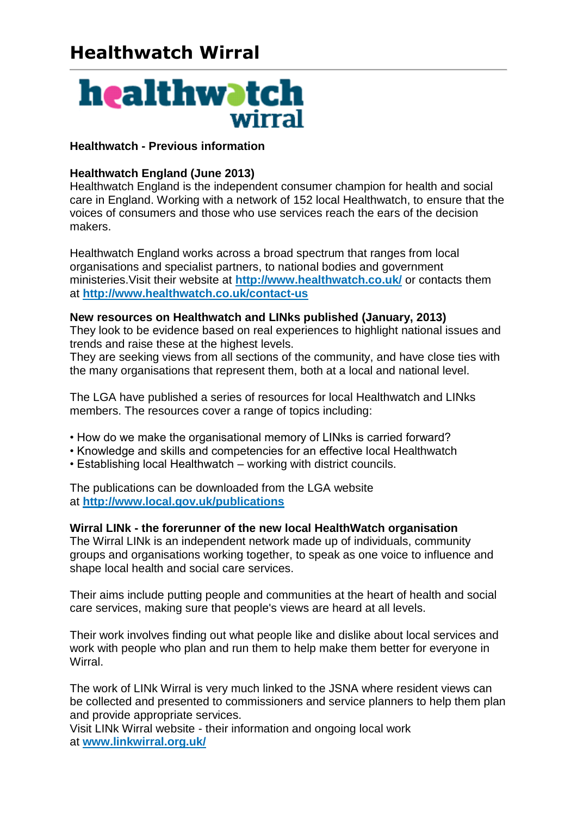# **Healthwatch Wirral**



# **Healthwatch - Previous information**

# **Healthwatch England (June 2013)**

Healthwatch England is the independent consumer champion for health and social care in England. Working with a network of 152 local Healthwatch, to ensure that the voices of consumers and those who use services reach the ears of the decision makers.

Healthwatch England works across a broad spectrum that ranges from local organisations and specialist partners, to national bodies and government ministeries.Visit their website at **<http://www.healthwatch.co.uk/>** or contacts them at **<http://www.healthwatch.co.uk/contact-us>**

#### **New resources on Healthwatch and LINks published (January, 2013)**

They look to be evidence based on real experiences to highlight national issues and trends and raise these at the highest levels.

They are seeking views from all sections of the community, and have close ties with the many organisations that represent them, both at a local and national level.

The LGA have published a series of resources for local Healthwatch and LINks members. The resources cover a range of topics including:

- How do we make the organisational memory of LINks is carried forward?
- Knowledge and skills and competencies for an effective local Healthwatch
- Establishing local Healthwatch working with district councils.

The publications can be downloaded from the LGA website at **<http://www.local.gov.uk/publications>**

#### **Wirral LINk - the forerunner of the new local HealthWatch organisation**

The Wirral LINk is an independent network made up of individuals, community groups and organisations working together, to speak as one voice to influence and shape local health and social care services.

Their aims include putting people and communities at the heart of health and social care services, making sure that people's views are heard at all levels.

Their work involves finding out what people like and dislike about local services and work with people who plan and run them to help make them better for everyone in Wirral.

The work of LINk Wirral is very much linked to the JSNA where resident views can be collected and presented to commissioners and service planners to help them plan and provide appropriate services.

Visit LINk Wirral website - their information and ongoing local work at **[www.linkwirral.org.uk/](http://www.linkwirral.org.uk/)**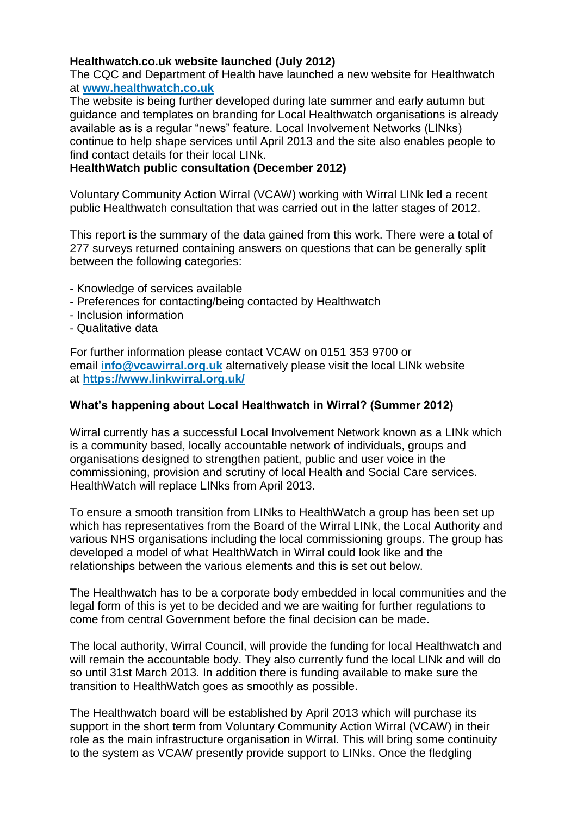# **Healthwatch.co.uk website launched (July 2012)**

The CQC and Department of Health have launched a new website for Healthwatch at **[www.healthwatch.co.uk](http://www.healthwatch.co.uk/)**

The website is being further developed during late summer and early autumn but guidance and templates on branding for Local Healthwatch organisations is already available as is a regular "news" feature. Local Involvement Networks (LINks) continue to help shape services until April 2013 and the site also enables people to find contact details for their local LINk.

# **HealthWatch public consultation (December 2012)**

Voluntary Community Action Wirral (VCAW) working with Wirral LINk led a recent public Healthwatch consultation that was carried out in the latter stages of 2012.

This report is the summary of the data gained from this work. There were a total of 277 surveys returned containing answers on questions that can be generally split between the following categories:

- Knowledge of services available
- Preferences for contacting/being contacted by Healthwatch
- Inclusion information
- Qualitative data

For further information please contact VCAW on 0151 353 9700 or email **[info@vcawirral.org.uk](mailto:info@vcawirral.org.uk)** alternatively please visit the local LINk website at **<https://www.linkwirral.org.uk/>**

### **What's happening about Local Healthwatch in Wirral? (Summer 2012)**

Wirral currently has a successful Local Involvement Network known as a LINk which is a community based, locally accountable network of individuals, groups and organisations designed to strengthen patient, public and user voice in the commissioning, provision and scrutiny of local Health and Social Care services. HealthWatch will replace LINks from April 2013.

To ensure a smooth transition from LINks to HealthWatch a group has been set up which has representatives from the Board of the Wirral LINk, the Local Authority and various NHS organisations including the local commissioning groups. The group has developed a model of what HealthWatch in Wirral could look like and the relationships between the various elements and this is set out below.

The Healthwatch has to be a corporate body embedded in local communities and the legal form of this is yet to be decided and we are waiting for further regulations to come from central Government before the final decision can be made.

The local authority, Wirral Council, will provide the funding for local Healthwatch and will remain the accountable body. They also currently fund the local LINk and will do so until 31st March 2013. In addition there is funding available to make sure the transition to HealthWatch goes as smoothly as possible.

The Healthwatch board will be established by April 2013 which will purchase its support in the short term from Voluntary Community Action Wirral (VCAW) in their role as the main infrastructure organisation in Wirral. This will bring some continuity to the system as VCAW presently provide support to LINks. Once the fledgling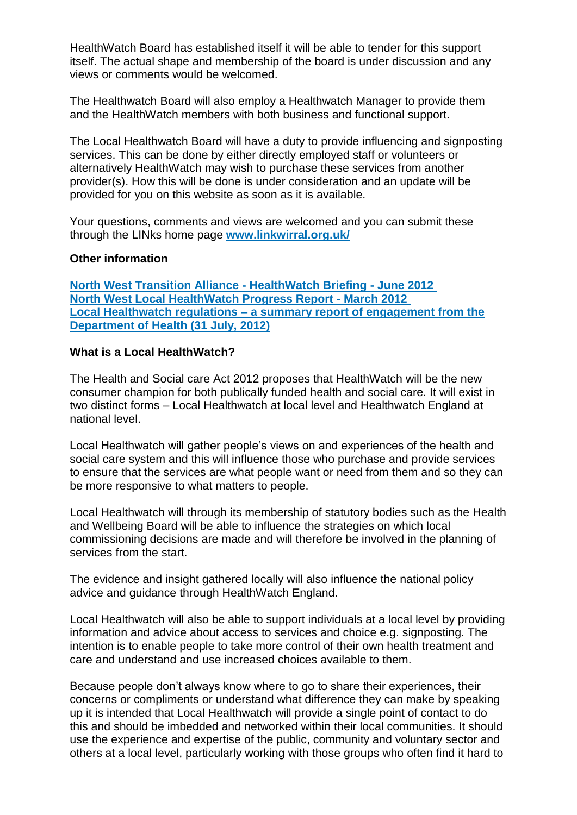HealthWatch Board has established itself it will be able to tender for this support itself. The actual shape and membership of the board is under discussion and any views or comments would be welcomed.

The Healthwatch Board will also employ a Healthwatch Manager to provide them and the HealthWatch members with both business and functional support.

The Local Healthwatch Board will have a duty to provide influencing and signposting services. This can be done by either directly employed staff or volunteers or alternatively HealthWatch may wish to purchase these services from another provider(s). How this will be done is under consideration and an update will be provided for you on this website as soon as it is available.

Your questions, comments and views are welcomed and you can submit these through the LINks home page **[www.linkwirral.org.uk/](http://www.linkwirral.org.uk/)**

#### **Other information**

**[North West Transition Alliance -](http://www.transitionalliance.co.uk/phocadownload/HealthWatch/healthwatch%20briefing%20-%20what%20the%20amendments%20mean.pdf) HealthWatch Briefing - June 2012 [North West Local HealthWatch Progress Report -](http://www.transitionalliance.co.uk/phocadownload/HealthWatch/nw%20local%20healthwatch%20progress%20report%20-%20march%202012.pdf) March 2012 Local Healthwatch regulations – [a summary report of engagement from the](https://www.wp.dh.gov.uk/publications/files/2012/07/Summary-Report-Issues-relating-to-local-Healthwatch-regulations.pdf)  [Department of Health \(31 July, 2012\)](https://www.wp.dh.gov.uk/publications/files/2012/07/Summary-Report-Issues-relating-to-local-Healthwatch-regulations.pdf)**

#### **What is a Local HealthWatch?**

The Health and Social care Act 2012 proposes that HealthWatch will be the new consumer champion for both publically funded health and social care. It will exist in two distinct forms – Local Healthwatch at local level and Healthwatch England at national level.

Local Healthwatch will gather people's views on and experiences of the health and social care system and this will influence those who purchase and provide services to ensure that the services are what people want or need from them and so they can be more responsive to what matters to people.

Local Healthwatch will through its membership of statutory bodies such as the Health and Wellbeing Board will be able to influence the strategies on which local commissioning decisions are made and will therefore be involved in the planning of services from the start.

The evidence and insight gathered locally will also influence the national policy advice and guidance through HealthWatch England.

Local Healthwatch will also be able to support individuals at a local level by providing information and advice about access to services and choice e.g. signposting. The intention is to enable people to take more control of their own health treatment and care and understand and use increased choices available to them.

Because people don't always know where to go to share their experiences, their concerns or compliments or understand what difference they can make by speaking up it is intended that Local Healthwatch will provide a single point of contact to do this and should be imbedded and networked within their local communities. It should use the experience and expertise of the public, community and voluntary sector and others at a local level, particularly working with those groups who often find it hard to